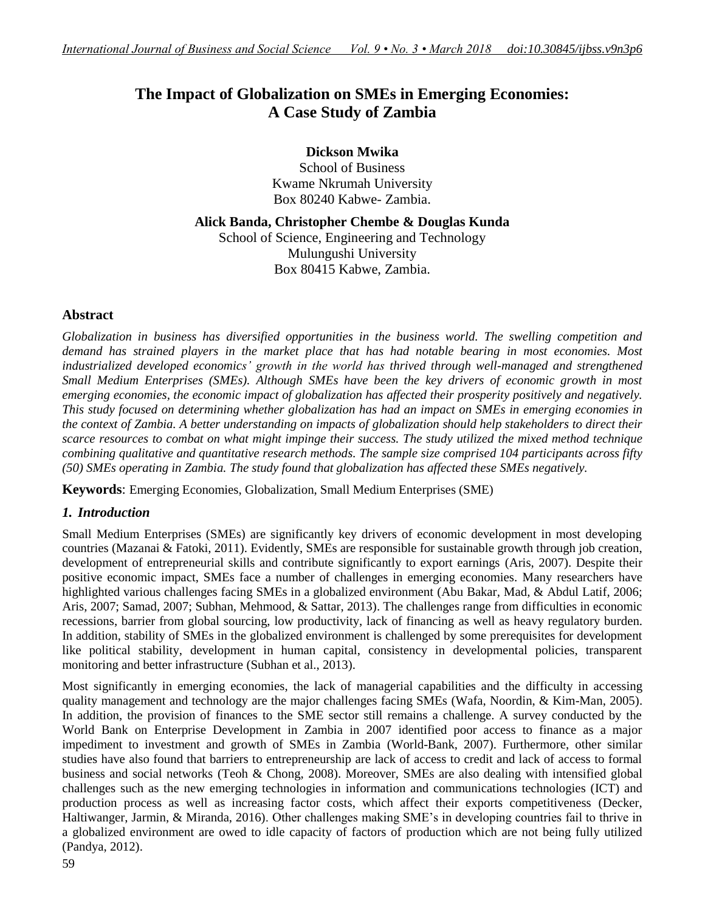# **The Impact of Globalization on SMEs in Emerging Economies: A Case Study of Zambia**

# **Dickson Mwika**

School of Business Kwame Nkrumah University Box 80240 Kabwe- Zambia.

**Alick Banda, Christopher Chembe & Douglas Kunda**

School of Science, Engineering and Technology Mulungushi University Box 80415 Kabwe, Zambia.

# **Abstract**

*Globalization in business has diversified opportunities in the business world. The swelling competition and demand has strained players in the market place that has had notable bearing in most economies. Most industrialized developed economics' growth in the world has thrived through well-managed and strengthened Small Medium Enterprises (SMEs). Although SMEs have been the key drivers of economic growth in most emerging economies, the economic impact of globalization has affected their prosperity positively and negatively. This study focused on determining whether globalization has had an impact on SMEs in emerging economies in the context of Zambia. A better understanding on impacts of globalization should help stakeholders to direct their scarce resources to combat on what might impinge their success. The study utilized the mixed method technique combining qualitative and quantitative research methods. The sample size comprised 104 participants across fifty (50) SMEs operating in Zambia. The study found that globalization has affected these SMEs negatively.*

**Keywords**: Emerging Economies, Globalization, Small Medium Enterprises (SME)

# *1. Introduction*

Small Medium Enterprises (SMEs) are significantly key drivers of economic development in most developing countries (Mazanai & Fatoki, 2011). Evidently, SMEs are responsible for sustainable growth through job creation, development of entrepreneurial skills and contribute significantly to export earnings (Aris, 2007). Despite their positive economic impact, SMEs face a number of challenges in emerging economies. Many researchers have highlighted various challenges facing SMEs in a globalized environment (Abu Bakar, Mad, & Abdul Latif, 2006; Aris, 2007; Samad, 2007; Subhan, Mehmood, & Sattar, 2013). The challenges range from difficulties in economic recessions, barrier from global sourcing, low productivity, lack of financing as well as heavy regulatory burden. In addition, stability of SMEs in the globalized environment is challenged by some prerequisites for development like political stability, development in human capital, consistency in developmental policies, transparent monitoring and better infrastructure (Subhan et al., 2013).

Most significantly in emerging economies, the lack of managerial capabilities and the difficulty in accessing quality management and technology are the major challenges facing SMEs (Wafa, Noordin, & Kim-Man, 2005). In addition, the provision of finances to the SME sector still remains a challenge. A survey conducted by the World Bank on Enterprise Development in Zambia in 2007 identified poor access to finance as a major impediment to investment and growth of SMEs in Zambia (World-Bank, 2007). Furthermore, other similar studies have also found that barriers to entrepreneurship are lack of access to credit and lack of access to formal business and social networks (Teoh & Chong, 2008). Moreover, SMEs are also dealing with intensified global challenges such as the new emerging technologies in information and communications technologies (ICT) and production process as well as increasing factor costs, which affect their exports competitiveness (Decker, Haltiwanger, Jarmin, & Miranda, 2016). Other challenges making SME's in developing countries fail to thrive in a globalized environment are owed to idle capacity of factors of production which are not being fully utilized (Pandya, 2012).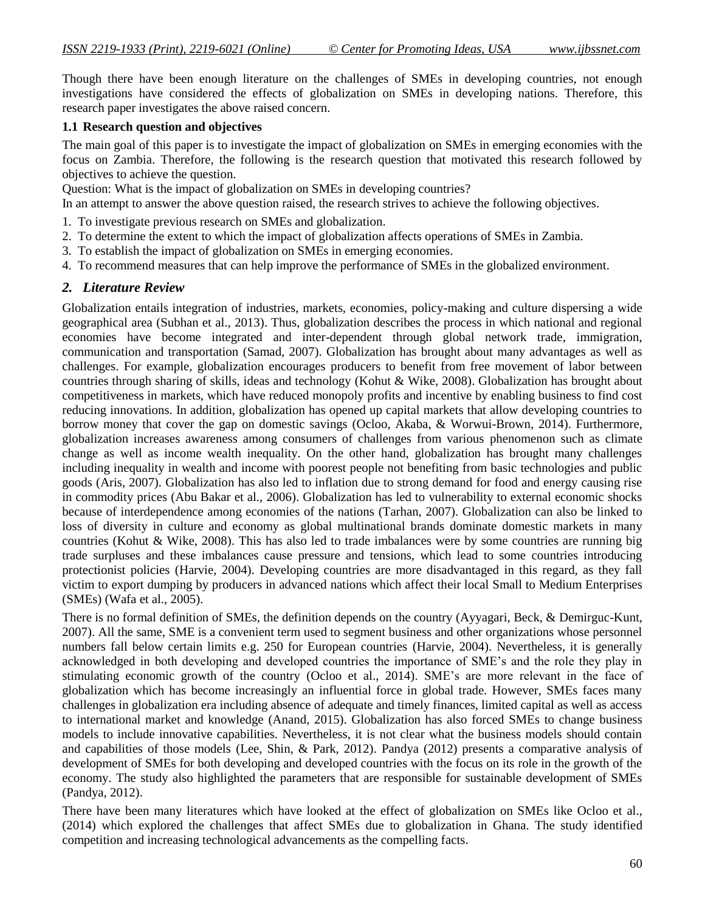Though there have been enough literature on the challenges of SMEs in developing countries, not enough investigations have considered the effects of globalization on SMEs in developing nations. Therefore, this research paper investigates the above raised concern.

#### **1.1 Research question and objectives**

The main goal of this paper is to investigate the impact of globalization on SMEs in emerging economies with the focus on Zambia. Therefore, the following is the research question that motivated this research followed by objectives to achieve the question.

Question: What is the impact of globalization on SMEs in developing countries?

In an attempt to answer the above question raised, the research strives to achieve the following objectives.

- 1. To investigate previous research on SMEs and globalization.
- 2. To determine the extent to which the impact of globalization affects operations of SMEs in Zambia.
- 3. To establish the impact of globalization on SMEs in emerging economies.
- 4. To recommend measures that can help improve the performance of SMEs in the globalized environment.

## *2. Literature Review*

Globalization entails integration of industries, markets, economies, policy-making and culture dispersing a wide geographical area (Subhan et al., 2013). Thus, globalization describes the process in which national and regional economies have become integrated and inter-dependent through global network trade, immigration, communication and transportation (Samad, 2007). Globalization has brought about many advantages as well as challenges. For example, globalization encourages producers to benefit from free movement of labor between countries through sharing of skills, ideas and technology (Kohut & Wike, 2008). Globalization has brought about competitiveness in markets, which have reduced monopoly profits and incentive by enabling business to find cost reducing innovations. In addition, globalization has opened up capital markets that allow developing countries to borrow money that cover the gap on domestic savings (Ocloo, Akaba, & Worwui-Brown, 2014). Furthermore, globalization increases awareness among consumers of challenges from various phenomenon such as climate change as well as income wealth inequality. On the other hand, globalization has brought many challenges including inequality in wealth and income with poorest people not benefiting from basic technologies and public goods (Aris, 2007). Globalization has also led to inflation due to strong demand for food and energy causing rise in commodity prices (Abu Bakar et al., 2006). Globalization has led to vulnerability to external economic shocks because of interdependence among economies of the nations (Tarhan, 2007). Globalization can also be linked to loss of diversity in culture and economy as global multinational brands dominate domestic markets in many countries (Kohut & Wike, 2008). This has also led to trade imbalances were by some countries are running big trade surpluses and these imbalances cause pressure and tensions, which lead to some countries introducing protectionist policies (Harvie, 2004). Developing countries are more disadvantaged in this regard, as they fall victim to export dumping by producers in advanced nations which affect their local Small to Medium Enterprises (SMEs) (Wafa et al., 2005).

There is no formal definition of SMEs, the definition depends on the country (Ayyagari, Beck, & Demirguc-Kunt, 2007). All the same, SME is a convenient term used to segment business and other organizations whose personnel numbers fall below certain limits e.g. 250 for European countries (Harvie, 2004). Nevertheless, it is generally acknowledged in both developing and developed countries the importance of SME's and the role they play in stimulating economic growth of the country (Ocloo et al., 2014). SME's are more relevant in the face of globalization which has become increasingly an influential force in global trade. However, SMEs faces many challenges in globalization era including absence of adequate and timely finances, limited capital as well as access to international market and knowledge (Anand, 2015). Globalization has also forced SMEs to change business models to include innovative capabilities. Nevertheless, it is not clear what the business models should contain and capabilities of those models (Lee, Shin, & Park, 2012). Pandya (2012) presents a comparative analysis of development of SMEs for both developing and developed countries with the focus on its role in the growth of the economy. The study also highlighted the parameters that are responsible for sustainable development of SMEs (Pandya, 2012).

There have been many literatures which have looked at the effect of globalization on SMEs like Ocloo et al., (2014) which explored the challenges that affect SMEs due to globalization in Ghana. The study identified competition and increasing technological advancements as the compelling facts.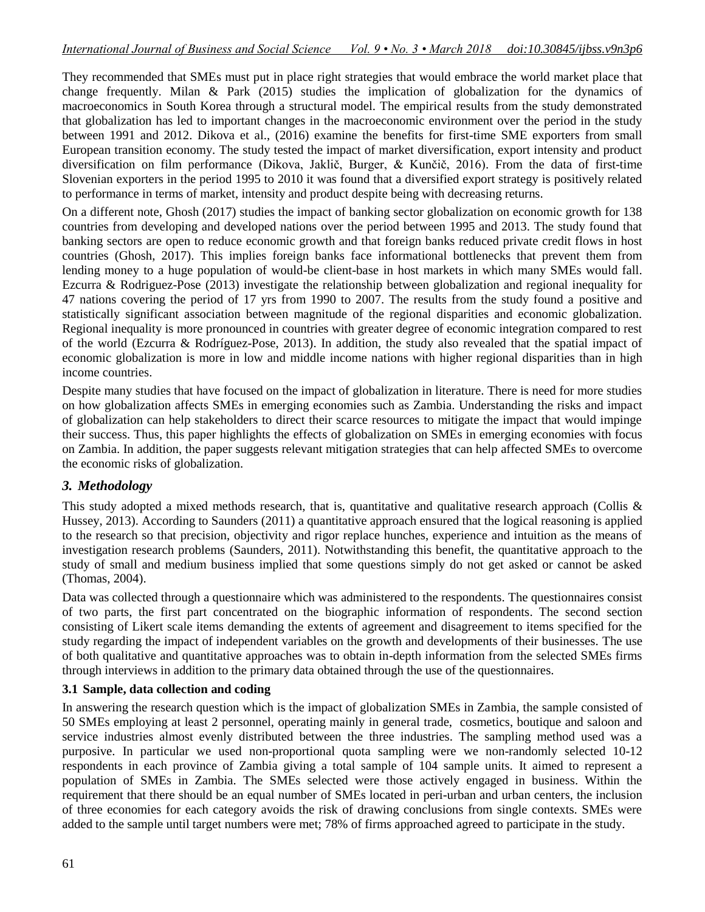They recommended that SMEs must put in place right strategies that would embrace the world market place that change frequently. Milan & Park (2015) studies the implication of globalization for the dynamics of macroeconomics in South Korea through a structural model. The empirical results from the study demonstrated that globalization has led to important changes in the macroeconomic environment over the period in the study between 1991 and 2012. Dikova et al., (2016) examine the benefits for first-time SME exporters from small European transition economy. The study tested the impact of market diversification, export intensity and product diversification on film performance (Dikova, Jaklič, Burger, & Kunčič, 2016). From the data of first-time Slovenian exporters in the period 1995 to 2010 it was found that a diversified export strategy is positively related to performance in terms of market, intensity and product despite being with decreasing returns.

On a different note, Ghosh (2017) studies the impact of banking sector globalization on economic growth for 138 countries from developing and developed nations over the period between 1995 and 2013. The study found that banking sectors are open to reduce economic growth and that foreign banks reduced private credit flows in host countries (Ghosh, 2017). This implies foreign banks face informational bottlenecks that prevent them from lending money to a huge population of would-be client-base in host markets in which many SMEs would fall. Ezcurra & Rodriguez-Pose (2013) investigate the relationship between globalization and regional inequality for 47 nations covering the period of 17 yrs from 1990 to 2007. The results from the study found a positive and statistically significant association between magnitude of the regional disparities and economic globalization. Regional inequality is more pronounced in countries with greater degree of economic integration compared to rest of the world (Ezcurra & Rodríguez-Pose, 2013). In addition, the study also revealed that the spatial impact of economic globalization is more in low and middle income nations with higher regional disparities than in high income countries.

Despite many studies that have focused on the impact of globalization in literature. There is need for more studies on how globalization affects SMEs in emerging economies such as Zambia. Understanding the risks and impact of globalization can help stakeholders to direct their scarce resources to mitigate the impact that would impinge their success. Thus, this paper highlights the effects of globalization on SMEs in emerging economies with focus on Zambia. In addition, the paper suggests relevant mitigation strategies that can help affected SMEs to overcome the economic risks of globalization.

# *3. Methodology*

This study adopted a mixed methods research, that is, quantitative and qualitative research approach (Collis  $\&$ Hussey, 2013). According to Saunders (2011) a quantitative approach ensured that the logical reasoning is applied to the research so that precision, objectivity and rigor replace hunches, experience and intuition as the means of investigation research problems (Saunders, 2011). Notwithstanding this benefit, the quantitative approach to the study of small and medium business implied that some questions simply do not get asked or cannot be asked (Thomas, 2004).

Data was collected through a questionnaire which was administered to the respondents. The questionnaires consist of two parts, the first part concentrated on the biographic information of respondents. The second section consisting of Likert scale items demanding the extents of agreement and disagreement to items specified for the study regarding the impact of independent variables on the growth and developments of their businesses. The use of both qualitative and quantitative approaches was to obtain in-depth information from the selected SMEs firms through interviews in addition to the primary data obtained through the use of the questionnaires.

#### **3.1 Sample, data collection and coding**

In answering the research question which is the impact of globalization SMEs in Zambia, the sample consisted of 50 SMEs employing at least 2 personnel, operating mainly in general trade, cosmetics, boutique and saloon and service industries almost evenly distributed between the three industries. The sampling method used was a purposive. In particular we used non-proportional quota sampling were we non-randomly selected 10-12 respondents in each province of Zambia giving a total sample of 104 sample units. It aimed to represent a population of SMEs in Zambia. The SMEs selected were those actively engaged in business. Within the requirement that there should be an equal number of SMEs located in peri-urban and urban centers, the inclusion of three economies for each category avoids the risk of drawing conclusions from single contexts. SMEs were added to the sample until target numbers were met; 78% of firms approached agreed to participate in the study.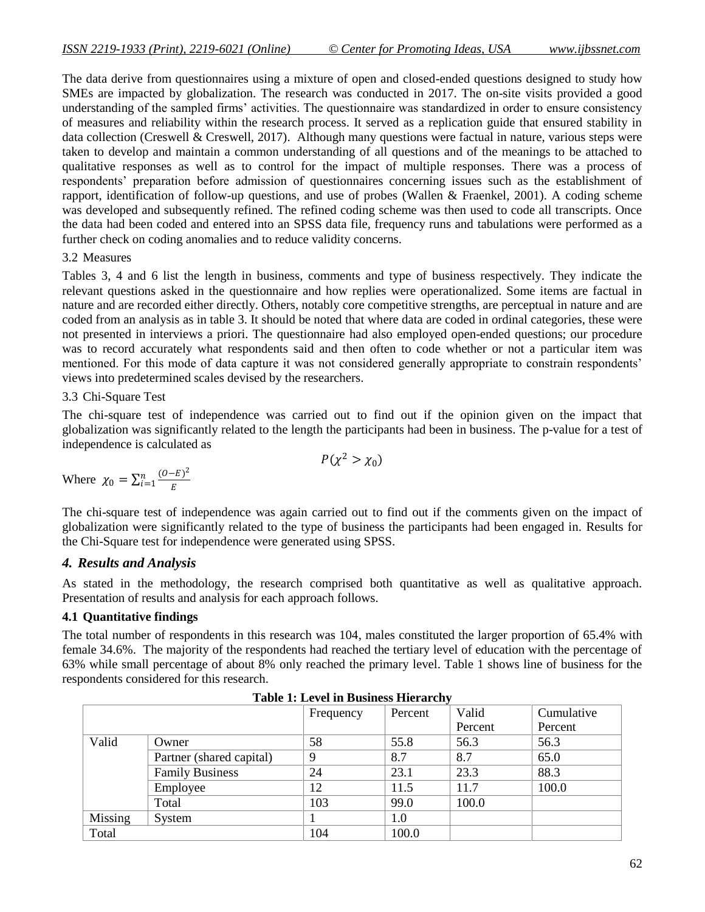The data derive from questionnaires using a mixture of open and closed-ended questions designed to study how SMEs are impacted by globalization. The research was conducted in 2017. The on-site visits provided a good understanding of the sampled firms' activities. The questionnaire was standardized in order to ensure consistency of measures and reliability within the research process. It served as a replication guide that ensured stability in data collection (Creswell & Creswell, 2017). Although many questions were factual in nature, various steps were taken to develop and maintain a common understanding of all questions and of the meanings to be attached to qualitative responses as well as to control for the impact of multiple responses. There was a process of respondents' preparation before admission of questionnaires concerning issues such as the establishment of rapport, identification of follow-up questions, and use of probes (Wallen & Fraenkel, 2001). A coding scheme was developed and subsequently refined. The refined coding scheme was then used to code all transcripts. Once the data had been coded and entered into an SPSS data file, frequency runs and tabulations were performed as a further check on coding anomalies and to reduce validity concerns.

#### 3.2 Measures

Tables 3, 4 and 6 list the length in business, comments and type of business respectively. They indicate the relevant questions asked in the questionnaire and how replies were operationalized. Some items are factual in nature and are recorded either directly. Others, notably core competitive strengths, are perceptual in nature and are coded from an analysis as in table 3. It should be noted that where data are coded in ordinal categories, these were not presented in interviews a priori. The questionnaire had also employed open-ended questions; our procedure was to record accurately what respondents said and then often to code whether or not a particular item was mentioned. For this mode of data capture it was not considered generally appropriate to constrain respondents' views into predetermined scales devised by the researchers.

## 3.3 Chi-Square Test

The chi-square test of independence was carried out to find out if the opinion given on the impact that globalization was significantly related to the length the participants had been in business. The p-value for a test of independence is calculated as

 $P(\chi^2 > \chi_0)$ 

Where 
$$
\chi_0 = \sum_{i=1}^n \frac{(O-E)^2}{E}
$$

The chi-square test of independence was again carried out to find out if the comments given on the impact of globalization were significantly related to the type of business the participants had been engaged in. Results for the Chi-Square test for independence were generated using SPSS.

#### *4. Results and Analysis*

As stated in the methodology, the research comprised both quantitative as well as qualitative approach. Presentation of results and analysis for each approach follows.

#### **4.1 Quantitative findings**

The total number of respondents in this research was 104, males constituted the larger proportion of 65.4% with female 34.6%. The majority of the respondents had reached the tertiary level of education with the percentage of 63% while small percentage of about 8% only reached the primary level. Table 1 shows line of business for the respondents considered for this research.

|         |                          | Frequency | Percent | Valid   | Cumulative |
|---------|--------------------------|-----------|---------|---------|------------|
|         |                          |           |         | Percent | Percent    |
| Valid   | Owner                    | 58        | 55.8    | 56.3    | 56.3       |
|         | Partner (shared capital) | 9         | 8.7     | 8.7     | 65.0       |
|         | <b>Family Business</b>   | 24        | 23.1    | 23.3    | 88.3       |
|         | Employee                 | 12        | 11.5    | 11.7    | 100.0      |
|         | Total                    | 103       | 99.0    | 100.0   |            |
| Missing | System                   |           | 1.0     |         |            |
| Total   |                          | 104       | 100.0   |         |            |

**Table 1: Level in Business Hierarchy**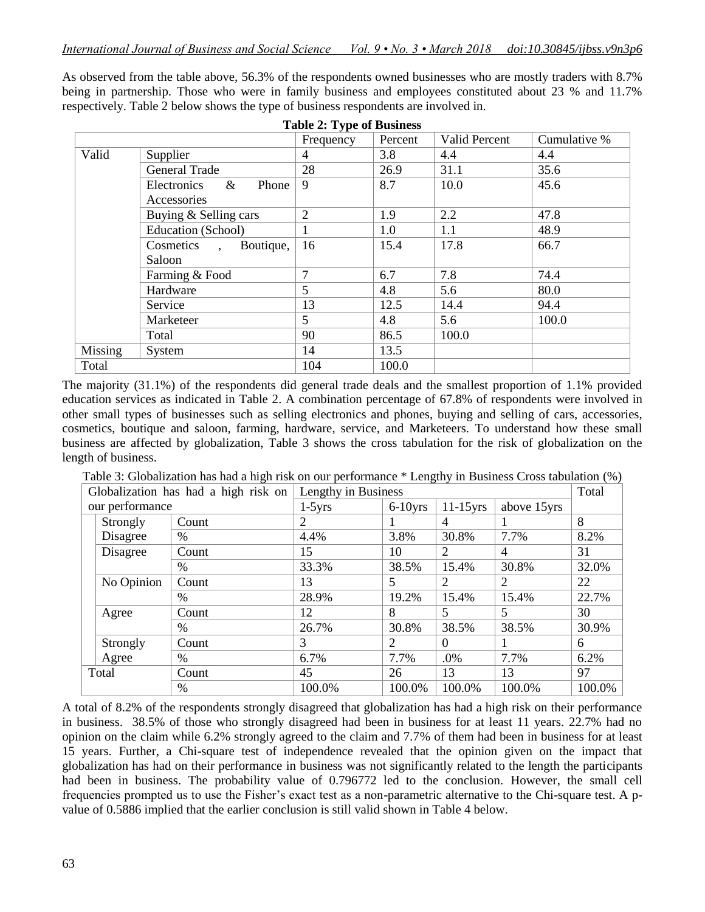As observed from the table above, 56.3% of the respondents owned businesses who are mostly traders with 8.7% being in partnership. Those who were in family business and employees constituted about 23 % and 11.7% respectively. Table 2 below shows the type of business respondents are involved in.

| <b>Table 2: Type of Business</b> |                              |                |         |                      |              |  |  |  |  |  |
|----------------------------------|------------------------------|----------------|---------|----------------------|--------------|--|--|--|--|--|
|                                  |                              | Frequency      | Percent | <b>Valid Percent</b> | Cumulative % |  |  |  |  |  |
| Valid                            | Supplier                     |                | 3.8     | 4.4                  | 4.4          |  |  |  |  |  |
|                                  | <b>General Trade</b>         | 28             | 26.9    | 31.1                 | 35.6         |  |  |  |  |  |
|                                  | $\&$<br>Phone<br>Electronics | 9              | 8.7     | 10.0                 | 45.6         |  |  |  |  |  |
|                                  | Accessories                  |                |         |                      |              |  |  |  |  |  |
|                                  | Buying & Selling cars        | $\overline{2}$ | 1.9     | 2.2                  | 47.8         |  |  |  |  |  |
|                                  | Education (School)           |                | 1.0     | 1.1                  | 48.9         |  |  |  |  |  |
|                                  | Cosmetics,<br>Boutique,      | 16             | 15.4    | 17.8                 | 66.7         |  |  |  |  |  |
|                                  | Saloon                       |                |         |                      |              |  |  |  |  |  |
|                                  | Farming & Food               | $\overline{7}$ | 6.7     | 7.8                  | 74.4         |  |  |  |  |  |
|                                  | Hardware                     | 5              | 4.8     | 5.6                  | 80.0         |  |  |  |  |  |
|                                  | Service                      | 13             | 12.5    | 14.4                 | 94.4         |  |  |  |  |  |
|                                  | Marketeer                    | 5              | 4.8     | 5.6                  | 100.0        |  |  |  |  |  |
|                                  | Total                        | 90             | 86.5    | 100.0                |              |  |  |  |  |  |
| Missing                          | System                       | 14             | 13.5    |                      |              |  |  |  |  |  |
| Total                            |                              | 104            | 100.0   |                      |              |  |  |  |  |  |

The majority (31.1%) of the respondents did general trade deals and the smallest proportion of 1.1% provided education services as indicated in Table 2. A combination percentage of 67.8% of respondents were involved in other small types of businesses such as selling electronics and phones, buying and selling of cars, accessories, cosmetics, boutique and saloon, farming, hardware, service, and Marketeers. To understand how these small business are affected by globalization, Table 3 shows the cross tabulation for the risk of globalization on the length of business.

Table 3: Globalization has had a high risk on our performance \* Lengthy in Business Cross tabulation (%)

| Globalization has had a high risk on |            |               | Lengthy in Business | Total      |             |             |        |
|--------------------------------------|------------|---------------|---------------------|------------|-------------|-------------|--------|
| our performance                      |            |               | $1-5yrs$            | $6-10$ yrs | $11-15$ yrs | above 15yrs |        |
|                                      | Strongly   | Count         | 2                   |            | 4           |             | 8      |
|                                      | Disagree   | $\frac{0}{0}$ | 4.4%                | 3.8%       | 30.8%       | 7.7%        | 8.2%   |
|                                      | Disagree   | Count         | 15                  | 10         | 2           | 4           | 31     |
|                                      |            | $\%$          | 33.3%               | 38.5%      | 15.4%       | 30.8%       | 32.0%  |
|                                      | No Opinion | Count         | 13                  | 5          | 2           | 2           | 22     |
|                                      |            | $\%$          | 28.9%               | 19.2%      | 15.4%       | 15.4%       | 22.7%  |
|                                      | Agree      | Count         | 12                  | 8          | 5           | 5           | 30     |
|                                      |            | $\%$          | 26.7%               | 30.8%      | 38.5%       | 38.5%       | 30.9%  |
|                                      | Strongly   | Count         | 3                   | 2          | $\Omega$    |             | 6      |
|                                      | Agree      | $\%$          | 6.7%                | 7.7%       | .0%         | 7.7%        | 6.2%   |
|                                      | Total      | Count         | 45                  | 26         | 13          | 13          | 97     |
|                                      |            | $\%$          | 100.0%              | 100.0%     | 100.0%      | 100.0%      | 100.0% |

A total of 8.2% of the respondents strongly disagreed that globalization has had a high risk on their performance in business. 38.5% of those who strongly disagreed had been in business for at least 11 years. 22.7% had no opinion on the claim while 6.2% strongly agreed to the claim and 7.7% of them had been in business for at least 15 years. Further, a Chi-square test of independence revealed that the opinion given on the impact that globalization has had on their performance in business was not significantly related to the length the participants had been in business. The probability value of 0.796772 led to the conclusion. However, the small cell frequencies prompted us to use the Fisher's exact test as a non-parametric alternative to the Chi-square test. A pvalue of 0.5886 implied that the earlier conclusion is still valid shown in Table 4 below.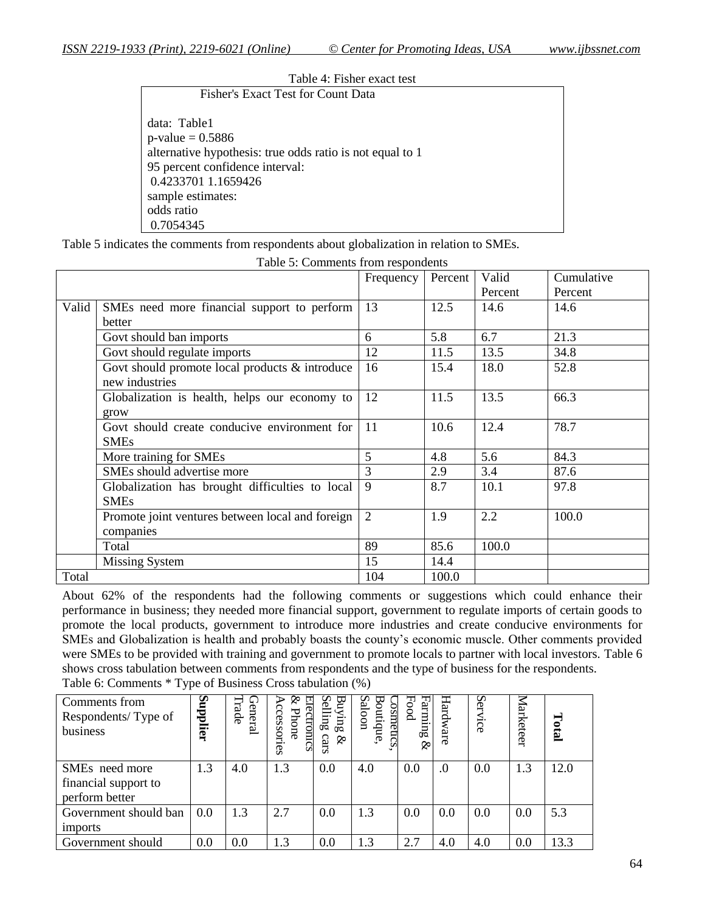| Table 4: Fisher exact test                                |
|-----------------------------------------------------------|
| Fisher's Exact Test for Count Data                        |
|                                                           |
| data: Table1                                              |
| $p$ -value = 0.5886                                       |
| alternative hypothesis: true odds ratio is not equal to 1 |
| 95 percent confidence interval:                           |
| 0.4233701 1.1659426                                       |
| sample estimates:                                         |
| odds ratio                                                |
| 0.7054345                                                 |

Table 5 indicates the comments from respondents about globalization in relation to SMEs.

|       |                                                  | Frequency      | Percent | Valid<br>Percent | Cumulative<br>Percent |
|-------|--------------------------------------------------|----------------|---------|------------------|-----------------------|
| Valid | SMEs need more financial support to perform      | 13             | 12.5    | 14.6             | 14.6                  |
|       | better                                           |                |         |                  |                       |
|       | Govt should ban imports                          | 6              | 5.8     | 6.7              | 21.3                  |
|       | Govt should regulate imports                     | 12             | 11.5    | 13.5             | 34.8                  |
|       | Govt should promote local products & introduce   | 16             | 15.4    | 18.0             | 52.8                  |
|       | new industries                                   |                |         |                  |                       |
|       | Globalization is health, helps our economy to    | 12             | 11.5    | 13.5             | 66.3                  |
|       | grow                                             |                |         |                  |                       |
|       | Govt should create conducive environment for     | 11             | 10.6    | 12.4             | 78.7                  |
|       | <b>SMEs</b>                                      |                |         |                  |                       |
|       | More training for SMEs                           | 5              | 4.8     | 5.6              | 84.3                  |
|       | SMEs should advertise more                       | 3              | 2.9     | 3.4              | 87.6                  |
|       | Globalization has brought difficulties to local  | 9              | 8.7     | 10.1             | 97.8                  |
|       | <b>SMEs</b>                                      |                |         |                  |                       |
|       | Promote joint ventures between local and foreign | $\overline{2}$ | 1.9     | 2.2              | 100.0                 |
|       | companies                                        |                |         |                  |                       |
|       | Total                                            | 89             | 85.6    | 100.0            |                       |
|       | <b>Missing System</b>                            | 15             | 14.4    |                  |                       |
| Total |                                                  | 104            | 100.0   |                  |                       |

Table 5: Comments from respondents

About 62% of the respondents had the following comments or suggestions which could enhance their performance in business; they needed more financial support, government to regulate imports of certain goods to promote the local products, government to introduce more industries and create conducive environments for SMEs and Globalization is health and probably boasts the county's economic muscle. Other comments provided were SMEs to be provided with training and government to promote locals to partner with local investors. Table 6 shows cross tabulation between comments from respondents and the type of business for the respondents. Table 6: Comments \* Type of Business Cross tabulation (%)

| Comments from<br>Respondents/Type of<br>business                     | Supplier | −<br>rade<br>ienera | ♪<br>ccessories<br><u>ectromcs</u><br>Phone | ϖ<br>anking<br>lling<br>cars<br>& | aloon<br>osmetics<br>outique. | Fanning<br>Food<br>Ŗ | Hardware | ∽<br>G<br>$\ddot{\mathrm{sc}}$ | <b>Iarketeer</b> | Total |
|----------------------------------------------------------------------|----------|---------------------|---------------------------------------------|-----------------------------------|-------------------------------|----------------------|----------|--------------------------------|------------------|-------|
| SME <sub>s</sub> need more<br>financial support to<br>perform better | 1.3      | 4.0                 | 1.3                                         | 0.0                               | 4.0                           | 0.0                  | $\cdot$  | 0.0                            | 1.3              | 12.0  |
| Government should ban<br>imports                                     | 0.0      | 1.3                 | 2.7                                         | 0.0                               | 1.3                           | 0.0                  | 0.0      | 0.0                            | 0.0              | 5.3   |
| Government should                                                    | 0.0      | 0.0                 | 1.3                                         | 0.0                               | 1.3                           | 2.7                  | 4.0      | 4.0                            | 0.0              | 13.3  |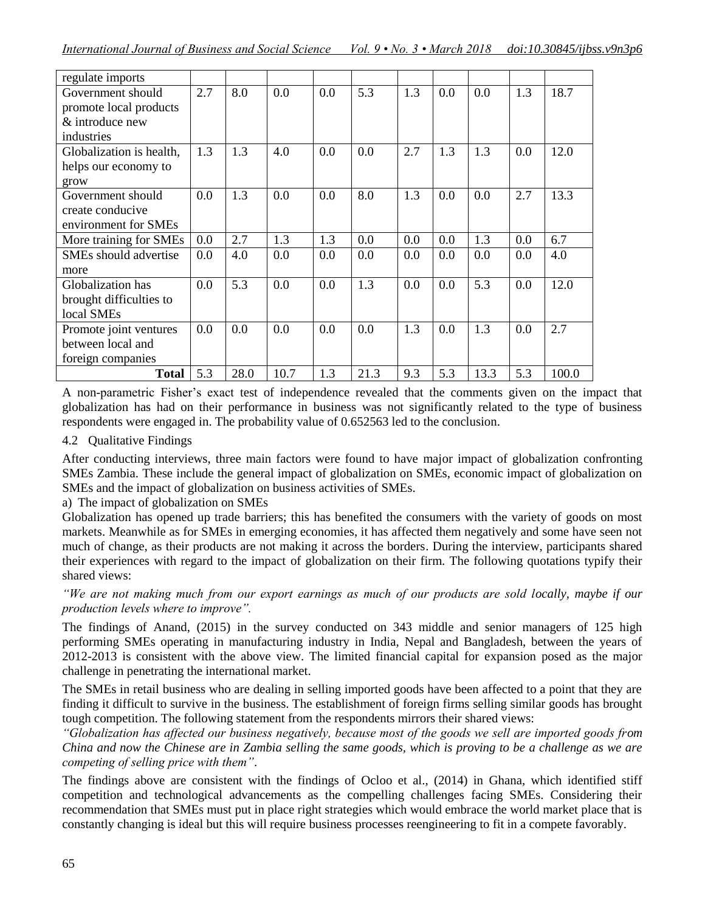| regulate imports         |     |      |      |     |      |     |     |      |     |       |
|--------------------------|-----|------|------|-----|------|-----|-----|------|-----|-------|
| Government should        | 2.7 | 8.0  | 0.0  | 0.0 | 5.3  | 1.3 | 0.0 | 0.0  | 1.3 | 18.7  |
| promote local products   |     |      |      |     |      |     |     |      |     |       |
| & introduce new          |     |      |      |     |      |     |     |      |     |       |
| industries               |     |      |      |     |      |     |     |      |     |       |
| Globalization is health, | 1.3 | 1.3  | 4.0  | 0.0 | 0.0  | 2.7 | 1.3 | 1.3  | 0.0 | 12.0  |
| helps our economy to     |     |      |      |     |      |     |     |      |     |       |
| grow                     |     |      |      |     |      |     |     |      |     |       |
| Government should        | 0.0 | 1.3  | 0.0  | 0.0 | 8.0  | 1.3 | 0.0 | 0.0  | 2.7 | 13.3  |
| create conducive         |     |      |      |     |      |     |     |      |     |       |
| environment for SMEs     |     |      |      |     |      |     |     |      |     |       |
| More training for SMEs   | 0.0 | 2.7  | 1.3  | 1.3 | 0.0  | 0.0 | 0.0 | 1.3  | 0.0 | 6.7   |
| SMEs should advertise    | 0.0 | 4.0  | 0.0  | 0.0 | 0.0  | 0.0 | 0.0 | 0.0  | 0.0 | 4.0   |
| more                     |     |      |      |     |      |     |     |      |     |       |
| Globalization has        | 0.0 | 5.3  | 0.0  | 0.0 | 1.3  | 0.0 | 0.0 | 5.3  | 0.0 | 12.0  |
| brought difficulties to  |     |      |      |     |      |     |     |      |     |       |
| local SMEs               |     |      |      |     |      |     |     |      |     |       |
| Promote joint ventures   | 0.0 | 0.0  | 0.0  | 0.0 | 0.0  | 1.3 | 0.0 | 1.3  | 0.0 | 2.7   |
| between local and        |     |      |      |     |      |     |     |      |     |       |
| foreign companies        |     |      |      |     |      |     |     |      |     |       |
| Total                    | 5.3 | 28.0 | 10.7 | 1.3 | 21.3 | 9.3 | 5.3 | 13.3 | 5.3 | 100.0 |

A non-parametric Fisher's exact test of independence revealed that the comments given on the impact that globalization has had on their performance in business was not significantly related to the type of business respondents were engaged in. The probability value of 0.652563 led to the conclusion.

# 4.2 Qualitative Findings

After conducting interviews, three main factors were found to have major impact of globalization confronting SMEs Zambia. These include the general impact of globalization on SMEs, economic impact of globalization on SMEs and the impact of globalization on business activities of SMEs.

# a) The impact of globalization on SMEs

Globalization has opened up trade barriers; this has benefited the consumers with the variety of goods on most markets. Meanwhile as for SMEs in emerging economies, it has affected them negatively and some have seen not much of change, as their products are not making it across the borders. During the interview, participants shared their experiences with regard to the impact of globalization on their firm. The following quotations typify their shared views:

## *"We are not making much from our export earnings as much of our products are sold locally, maybe if our production levels where to improve".*

The findings of Anand, (2015) in the survey conducted on 343 middle and senior managers of 125 high performing SMEs operating in manufacturing industry in India, Nepal and Bangladesh, between the years of 2012-2013 is consistent with the above view. The limited financial capital for expansion posed as the major challenge in penetrating the international market.

The SMEs in retail business who are dealing in selling imported goods have been affected to a point that they are finding it difficult to survive in the business. The establishment of foreign firms selling similar goods has brought tough competition. The following statement from the respondents mirrors their shared views:

*"Globalization has affected our business negatively, because most of the goods we sell are imported goods from China and now the Chinese are in Zambia selling the same goods, which is proving to be a challenge as we are competing of selling price with them"*.

The findings above are consistent with the findings of Ocloo et al., (2014) in Ghana, which identified stiff competition and technological advancements as the compelling challenges facing SMEs. Considering their recommendation that SMEs must put in place right strategies which would embrace the world market place that is constantly changing is ideal but this will require business processes reengineering to fit in a compete favorably.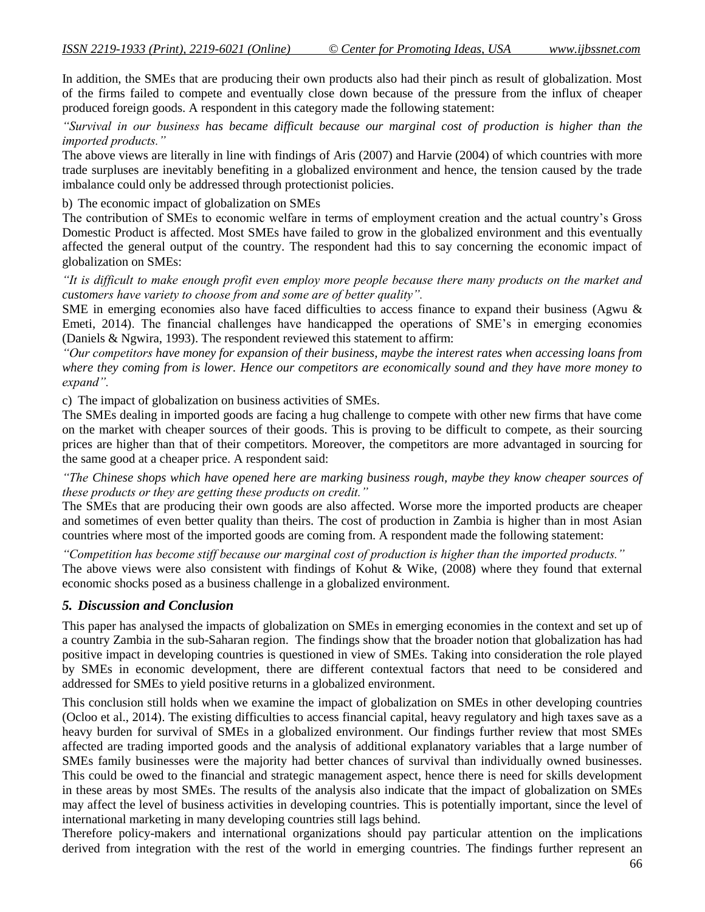In addition, the SMEs that are producing their own products also had their pinch as result of globalization. Most of the firms failed to compete and eventually close down because of the pressure from the influx of cheaper produced foreign goods. A respondent in this category made the following statement:

*"Survival in our business has became difficult because our marginal cost of production is higher than the imported products."*

The above views are literally in line with findings of Aris (2007) and Harvie (2004) of which countries with more trade surpluses are inevitably benefiting in a globalized environment and hence, the tension caused by the trade imbalance could only be addressed through protectionist policies.

b) The economic impact of globalization on SMEs

The contribution of SMEs to economic welfare in terms of employment creation and the actual country's Gross Domestic Product is affected. Most SMEs have failed to grow in the globalized environment and this eventually affected the general output of the country. The respondent had this to say concerning the economic impact of globalization on SMEs:

*"It is difficult to make enough profit even employ more people because there many products on the market and customers have variety to choose from and some are of better quality".*

SME in emerging economies also have faced difficulties to access finance to expand their business (Agwu & Emeti, 2014). The financial challenges have handicapped the operations of SME's in emerging economies (Daniels & Ngwira, 1993). The respondent reviewed this statement to affirm:

*"Our competitors have money for expansion of their business, maybe the interest rates when accessing loans from where they coming from is lower. Hence our competitors are economically sound and they have more money to expand".*

c) The impact of globalization on business activities of SMEs.

The SMEs dealing in imported goods are facing a hug challenge to compete with other new firms that have come on the market with cheaper sources of their goods. This is proving to be difficult to compete, as their sourcing prices are higher than that of their competitors. Moreover, the competitors are more advantaged in sourcing for the same good at a cheaper price. A respondent said:

*"The Chinese shops which have opened here are marking business rough, maybe they know cheaper sources of these products or they are getting these products on credit."*

The SMEs that are producing their own goods are also affected. Worse more the imported products are cheaper and sometimes of even better quality than theirs. The cost of production in Zambia is higher than in most Asian countries where most of the imported goods are coming from. A respondent made the following statement:

*"Competition has become stiff because our marginal cost of production is higher than the imported products."*

The above views were also consistent with findings of Kohut & Wike, (2008) where they found that external economic shocks posed as a business challenge in a globalized environment.

#### *5. Discussion and Conclusion*

This paper has analysed the impacts of globalization on SMEs in emerging economies in the context and set up of a country Zambia in the sub-Saharan region. The findings show that the broader notion that globalization has had positive impact in developing countries is questioned in view of SMEs. Taking into consideration the role played by SMEs in economic development, there are different contextual factors that need to be considered and addressed for SMEs to yield positive returns in a globalized environment.

This conclusion still holds when we examine the impact of globalization on SMEs in other developing countries (Ocloo et al., 2014). The existing difficulties to access financial capital, heavy regulatory and high taxes save as a heavy burden for survival of SMEs in a globalized environment. Our findings further review that most SMEs affected are trading imported goods and the analysis of additional explanatory variables that a large number of SMEs family businesses were the majority had better chances of survival than individually owned businesses. This could be owed to the financial and strategic management aspect, hence there is need for skills development in these areas by most SMEs. The results of the analysis also indicate that the impact of globalization on SMEs may affect the level of business activities in developing countries. This is potentially important, since the level of international marketing in many developing countries still lags behind.

Therefore policy-makers and international organizations should pay particular attention on the implications derived from integration with the rest of the world in emerging countries. The findings further represent an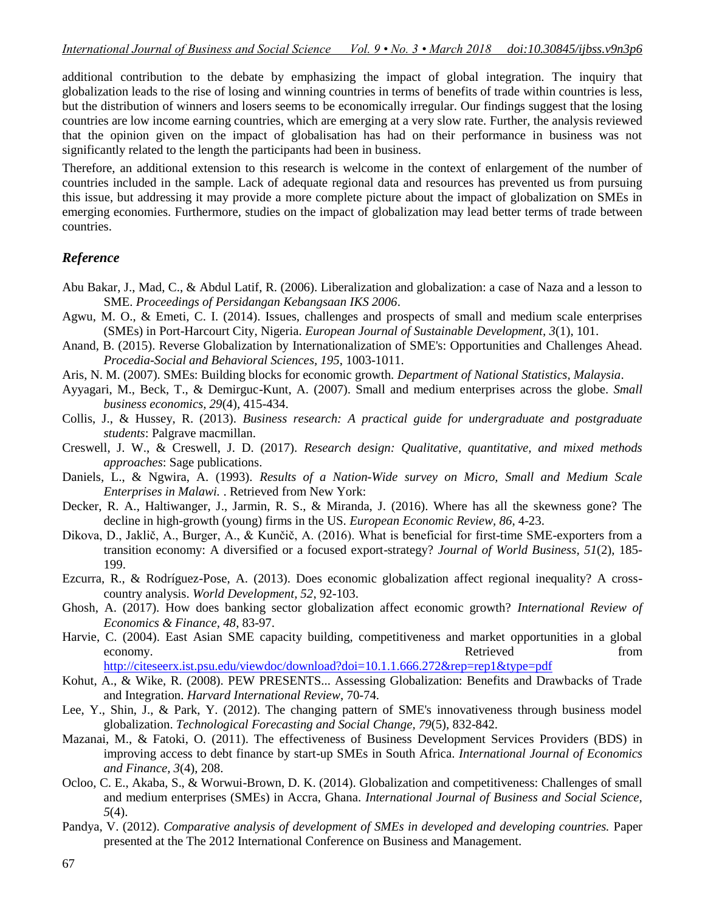additional contribution to the debate by emphasizing the impact of global integration. The inquiry that globalization leads to the rise of losing and winning countries in terms of benefits of trade within countries is less, but the distribution of winners and losers seems to be economically irregular. Our findings suggest that the losing countries are low income earning countries, which are emerging at a very slow rate. Further, the analysis reviewed that the opinion given on the impact of globalisation has had on their performance in business was not significantly related to the length the participants had been in business.

Therefore, an additional extension to this research is welcome in the context of enlargement of the number of countries included in the sample. Lack of adequate regional data and resources has prevented us from pursuing this issue, but addressing it may provide a more complete picture about the impact of globalization on SMEs in emerging economies. Furthermore, studies on the impact of globalization may lead better terms of trade between countries.

# *Reference*

- Abu Bakar, J., Mad, C., & Abdul Latif, R. (2006). Liberalization and globalization: a case of Naza and a lesson to SME. *Proceedings of Persidangan Kebangsaan IKS 2006*.
- Agwu, M. O., & Emeti, C. I. (2014). Issues, challenges and prospects of small and medium scale enterprises (SMEs) in Port-Harcourt City, Nigeria. *European Journal of Sustainable Development, 3*(1), 101.
- Anand, B. (2015). Reverse Globalization by Internationalization of SME's: Opportunities and Challenges Ahead. *Procedia-Social and Behavioral Sciences, 195*, 1003-1011.
- Aris, N. M. (2007). SMEs: Building blocks for economic growth. *Department of National Statistics, Malaysia*.
- Ayyagari, M., Beck, T., & Demirguc-Kunt, A. (2007). Small and medium enterprises across the globe. *Small business economics, 29*(4), 415-434.
- Collis, J., & Hussey, R. (2013). *Business research: A practical guide for undergraduate and postgraduate students*: Palgrave macmillan.
- Creswell, J. W., & Creswell, J. D. (2017). *Research design: Qualitative, quantitative, and mixed methods approaches*: Sage publications.
- Daniels, L., & Ngwira, A. (1993). *Results of a Nation-Wide survey on Micro, Small and Medium Scale Enterprises in Malawi.* . Retrieved from New York:
- Decker, R. A., Haltiwanger, J., Jarmin, R. S., & Miranda, J. (2016). Where has all the skewness gone? The decline in high-growth (young) firms in the US. *European Economic Review, 86*, 4-23.
- Dikova, D., Jaklič, A., Burger, A., & Kunčič, A. (2016). What is beneficial for first-time SME-exporters from a transition economy: A diversified or a focused export-strategy? *Journal of World Business, 51*(2), 185- 199.
- Ezcurra, R., & Rodríguez-Pose, A. (2013). Does economic globalization affect regional inequality? A crosscountry analysis. *World Development, 52*, 92-103.
- Ghosh, A. (2017). How does banking sector globalization affect economic growth? *International Review of Economics & Finance, 48*, 83-97.
- Harvie, C. (2004). East Asian SME capacity building, competitiveness and market opportunities in a global economy. The economy of the seconomy of the seconomy of the seconomy of the seconomy of the seconomy of the seconomy of the seconomy of the seconomy of the seconomy of the seconomy of the seconomy of the seconomy of the se <http://citeseerx.ist.psu.edu/viewdoc/download?doi=10.1.1.666.272&rep=rep1&type=pdf>
- Kohut, A., & Wike, R. (2008). PEW PRESENTS... Assessing Globalization: Benefits and Drawbacks of Trade and Integration. *Harvard International Review*, 70-74.
- Lee, Y., Shin, J., & Park, Y. (2012). The changing pattern of SME's innovativeness through business model globalization. *Technological Forecasting and Social Change, 79*(5), 832-842.
- Mazanai, M., & Fatoki, O. (2011). The effectiveness of Business Development Services Providers (BDS) in improving access to debt finance by start-up SMEs in South Africa. *International Journal of Economics and Finance, 3*(4), 208.
- Ocloo, C. E., Akaba, S., & Worwui-Brown, D. K. (2014). Globalization and competitiveness: Challenges of small and medium enterprises (SMEs) in Accra, Ghana. *International Journal of Business and Social Science, 5*(4).
- Pandya, V. (2012). *Comparative analysis of development of SMEs in developed and developing countries.* Paper presented at the The 2012 International Conference on Business and Management.